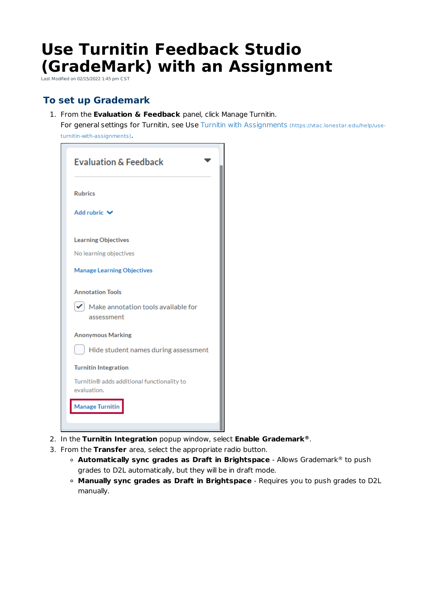## **Use Turnitin Feedback Studio (GradeMark) with an Assignment**

Last Modified on 02/15/2022 1:45 pm CST

## **To set up Grademark**

1. From the **Evaluation & Feedback** panel, click Manage Turnitin.

For general settings for Turnitin, see Use Turnitin with Assignments (https://vtac.lonestar.edu/help/useturnitin-with-assignments).

 $\overline{\phantom{0}}$ 

| <b>Evaluation &amp; Feedback</b>                                        |
|-------------------------------------------------------------------------|
| <b>Rubrics</b>                                                          |
| Add rubric V                                                            |
| <b>Learning Objectives</b>                                              |
| No learning objectives                                                  |
| <b>Manage Learning Objectives</b>                                       |
| <b>Annotation Tools</b>                                                 |
| $\blacktriangleright$ Make annotation tools available for<br>assessment |
| <b>Anonymous Marking</b>                                                |
| Hide student names during assessment                                    |
| <b>Turnitin Integration</b>                                             |
| Turnitin® adds additional functionality to<br>evaluation.               |
| <b>Manage Turnitin</b>                                                  |
|                                                                         |

- 2. In the **Turnitin Integration** popup window, select **Enable Grademark** . **®**
- 3. From the **Transfer** area, select the appropriate radio button.
	- **Automatically sync grades as Draft in Brightspace Allows Grademark® to push** grades to D2L automatically, but they will be in draft mode.
	- **Manually sync grades as Draft in Brightspace** Requires you to push grades to D2L manually.